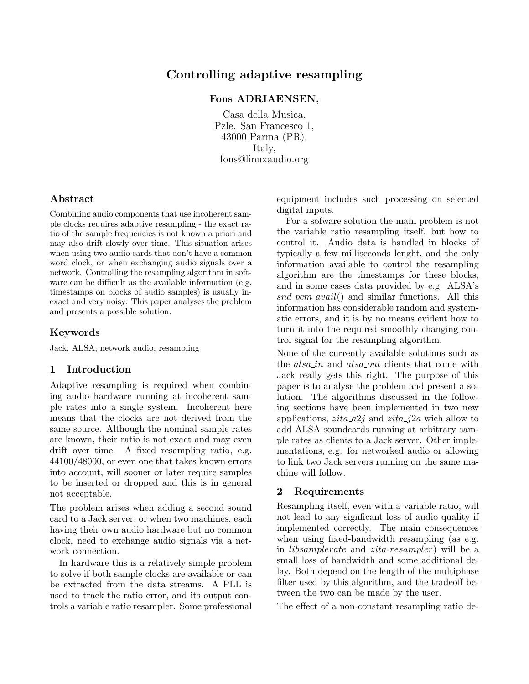# Controlling adaptive resampling

## Fons ADRIAENSEN,

Casa della Musica, Pzle. San Francesco 1, 43000 Parma (PR), Italy, fons@linuxaudio.org

## Abstract

Combining audio components that use incoherent sample clocks requires adaptive resampling - the exact ratio of the sample frequencies is not known a priori and may also drift slowly over time. This situation arises when using two audio cards that don't have a common word clock, or when exchanging audio signals over a network. Controlling the resampling algorithm in software can be difficult as the available information (e.g. timestamps on blocks of audio samples) is usually inexact and very noisy. This paper analyses the problem and presents a possible solution.

# Keywords

Jack, ALSA, network audio, resampling

## 1 Introduction

Adaptive resampling is required when combining audio hardware running at incoherent sample rates into a single system. Incoherent here means that the clocks are not derived from the same source. Although the nominal sample rates are known, their ratio is not exact and may even drift over time. A fixed resampling ratio, e.g. 44100/48000, or even one that takes known errors into account, will sooner or later require samples to be inserted or dropped and this is in general not acceptable.

The problem arises when adding a second sound card to a Jack server, or when two machines, each having their own audio hardware but no common clock, need to exchange audio signals via a network connection.

In hardware this is a relatively simple problem to solve if both sample clocks are available or can be extracted from the data streams. A PLL is used to track the ratio error, and its output controls a variable ratio resampler. Some professional equipment includes such processing on selected digital inputs.

For a sofware solution the main problem is not the variable ratio resampling itself, but how to control it. Audio data is handled in blocks of typically a few milliseconds lenght, and the only information available to control the resampling algorithm are the timestamps for these blocks, and in some cases data provided by e.g. ALSA's  $snd\_pcm\_avail()$  and similar functions. All this information has considerable random and systematic errors, and it is by no means evident how to turn it into the required smoothly changing control signal for the resampling algorithm.

None of the currently available solutions such as the *alsa<sub>in</sub>* and *alsa<sub>out</sub>* clients that come with Jack really gets this right. The purpose of this paper is to analyse the problem and present a solution. The algorithms discussed in the following sections have been implemented in two new applications,  $zita_a 2j$  and  $zita_j 2a$  wich allow to add ALSA soundcards running at arbitrary sample rates as clients to a Jack server. Other implementations, e.g. for networked audio or allowing to link two Jack servers running on the same machine will follow.

## 2 Requirements

Resampling itself, even with a variable ratio, will not lead to any signficant loss of audio quality if implemented correctly. The main consequences when using fixed-bandwidth resampling (as e.g. in libsamplerate and zita-resampler) will be a small loss of bandwidth and some additional delay. Both depend on the length of the multiphase filter used by this algorithm, and the tradeoff between the two can be made by the user.

The effect of a non-constant resampling ratio de-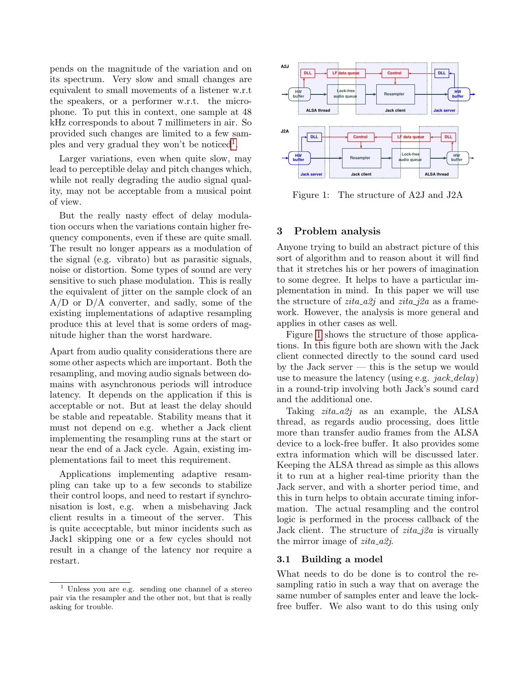pends on the magnitude of the variation and on its spectrum. Very slow and small changes are equivalent to small movements of a listener w.r.t the speakers, or a performer w.r.t. the microphone. To put this in context, one sample at 48 kHz corresponds to about 7 millimeters in air. So provided such changes are limited to a few sam-ples and very gradual they won't be noticed<sup>[1](#page-1-0)</sup>.

Larger variations, even when quite slow, may lead to perceptible delay and pitch changes which, while not really degrading the audio signal quality, may not be acceptable from a musical point of view.

But the really nasty effect of delay modulation occurs when the variations contain higher frequency components, even if these are quite small. The result no longer appears as a modulation of the signal (e.g. vibrato) but as parasitic signals, noise or distortion. Some types of sound are very sensitive to such phase modulation. This is really the equivalent of jitter on the sample clock of an  $A/D$  or  $D/A$  converter, and sadly, some of the existing implementations of adaptive resampling produce this at level that is some orders of magnitude higher than the worst hardware.

Apart from audio quality considerations there are some other aspects which are important. Both the resampling, and moving audio signals between domains with asynchronous periods will introduce latency. It depends on the application if this is acceptable or not. But at least the delay should be stable and repeatable. Stability means that it must not depend on e.g. whether a Jack client implementing the resampling runs at the start or near the end of a Jack cycle. Again, existing implementations fail to meet this requirement.

Applications implementing adaptive resampling can take up to a few seconds to stabilize their control loops, and need to restart if synchronisation is lost, e.g. when a misbehaving Jack client results in a timeout of the server. This is quite accecptable, but minor incidents such as Jack1 skipping one or a few cycles should not result in a change of the latency nor require a restart.



<span id="page-1-1"></span>Figure 1: The structure of A2J and J2A

## 3 Problem analysis

Anyone trying to build an abstract picture of this sort of algorithm and to reason about it will find that it stretches his or her powers of imagination to some degree. It helps to have a particular implementation in mind. In this paper we will use the structure of  $zita \_a2j$  and  $zita \_j2a$  as a framework. However, the analysis is more general and applies in other cases as well.

Figure [1](#page-1-1) shows the structure of those applications. In this figure both are shown with the Jack client connected directly to the sound card used by the Jack server — this is the setup we would use to measure the latency (using e.g.  $jack\_delay$ ) in a round-trip involving both Jack's sound card and the additional one.

Taking  $zita_a2j$  as an example, the ALSA thread, as regards audio processing, does little more than transfer audio frames from the ALSA device to a lock-free buffer. It also provides some extra information which will be discussed later. Keeping the ALSA thread as simple as this allows it to run at a higher real-time priority than the Jack server, and with a shorter period time, and this in turn helps to obtain accurate timing information. The actual resampling and the control logic is performed in the process callback of the Jack client. The structure of  $zita$ <sub>-j</sub> $2a$  is virually the mirror image of  $zita \_a2j$ .

## 3.1 Building a model

What needs to do be done is to control the resampling ratio in such a way that on average the same number of samples enter and leave the lockfree buffer. We also want to do this using only

<span id="page-1-0"></span>Unless you are e.g. sending one channel of a stereo pair via the resampler and the other not, but that is really asking for trouble.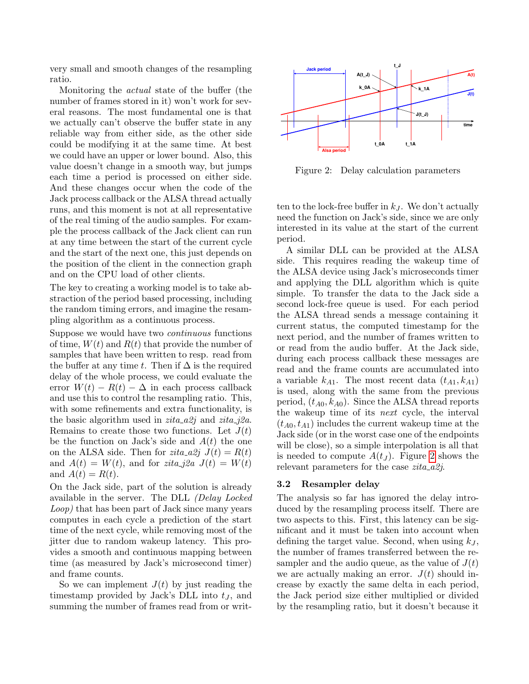very small and smooth changes of the resampling ratio.

Monitoring the actual state of the buffer (the number of frames stored in it) won't work for several reasons. The most fundamental one is that we actually can't observe the buffer state in any reliable way from either side, as the other side could be modifying it at the same time. At best we could have an upper or lower bound. Also, this value doesn't change in a smooth way, but jumps each time a period is processed on either side. And these changes occur when the code of the Jack process callback or the ALSA thread actually runs, and this moment is not at all representative of the real timing of the audio samples. For example the process callback of the Jack client can run at any time between the start of the current cycle and the start of the next one, this just depends on the position of the client in the connection graph and on the CPU load of other clients.

The key to creating a working model is to take abstraction of the period based processing, including the random timing errors, and imagine the resampling algorithm as a continuous process.

Suppose we would have two continuous functions of time,  $W(t)$  and  $R(t)$  that provide the number of samples that have been written to resp. read from the buffer at any time t. Then if  $\Delta$  is the required delay of the whole process, we could evaluate the error  $W(t) - R(t) - \Delta$  in each process callback and use this to control the resampling ratio. This, with some refinements and extra functionality, is the basic algorithm used in  $zita \_22j$  and  $zita \_22a$ . Remains to create those two functions. Let  $J(t)$ be the function on Jack's side and  $A(t)$  the one on the ALSA side. Then for  $zita \_a2j \ J(t) = R(t)$ and  $A(t) = W(t)$ , and for *zita\_j2a*  $J(t) = W(t)$ and  $A(t) = R(t)$ .

On the Jack side, part of the solution is already available in the server. The DLL (Delay Locked Loop) that has been part of Jack since many years computes in each cycle a prediction of the start time of the next cycle, while removing most of the jitter due to random wakeup latency. This provides a smooth and continuous mapping between time (as measured by Jack's microsecond timer) and frame counts.

So we can implement  $J(t)$  by just reading the timestamp provided by Jack's DLL into  $t<sub>J</sub>$ , and summing the number of frames read from or writ-



<span id="page-2-0"></span>Figure 2: Delay calculation parameters

ten to the lock-free buffer in  $k_J$ . We don't actually need the function on Jack's side, since we are only interested in its value at the start of the current period.

A similar DLL can be provided at the ALSA side. This requires reading the wakeup time of the ALSA device using Jack's microseconds timer and applying the DLL algorithm which is quite simple. To transfer the data to the Jack side a second lock-free queue is used. For each period the ALSA thread sends a message containing it current status, the computed timestamp for the next period, and the number of frames written to or read from the audio buffer. At the Jack side, during each process callback these messages are read and the frame counts are accumulated into a variable  $k_{A1}$ . The most recent data  $(t_{A1}, k_{A1})$ is used, along with the same from the previous period,  $(t_{A0}, k_{A0})$ . Since the ALSA thread reports the wakeup time of its next cycle, the interval  $(t_{A0}, t_{A1})$  includes the current wakeup time at the Jack side (or in the worst case one of the endpoints will be close), so a simple interpolation is all that is needed to compute  $A(t_J)$ . Figure [2](#page-2-0) shows the relevant parameters for the case  $zita_a2j$ .

## 3.2 Resampler delay

The analysis so far has ignored the delay introduced by the resampling process itself. There are two aspects to this. First, this latency can be significant and it must be taken into account when defining the target value. Second, when using  $k_J$ , the number of frames transferred between the resampler and the audio queue, as the value of  $J(t)$ we are actually making an error.  $J(t)$  should increase by exactly the same delta in each period, the Jack period size either multiplied or divided by the resampling ratio, but it doesn't because it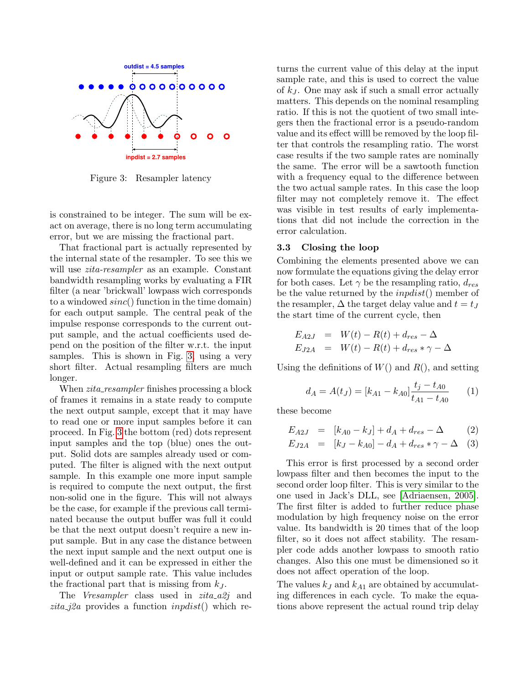

<span id="page-3-0"></span>Figure 3: Resampler latency

is constrained to be integer. The sum will be exact on average, there is no long term accumulating error, but we are missing the fractional part.

That fractional part is actually represented by the internal state of the resampler. To see this we will use *zita-resampler* as an example. Constant bandwidth resampling works by evaluating a FIR filter (a near 'brickwall' lowpass wich corresponds to a windowed  $sinc()$  function in the time domain) for each output sample. The central peak of the impulse response corresponds to the current output sample, and the actual coefficients used depend on the position of the filter w.r.t. the input samples. This is shown in Fig. [3,](#page-3-0) using a very short filter. Actual resampling filters are much longer.

When *zita\_resampler* finishes processing a block of frames it remains in a state ready to compute the next output sample, except that it may have to read one or more input samples before it can proceed. In Fig. [3](#page-3-0) the bottom (red) dots represent input samples and the top (blue) ones the output. Solid dots are samples already used or computed. The filter is aligned with the next output sample. In this example one more input sample is required to compute the next output, the first non-solid one in the figure. This will not always be the case, for example if the previous call terminated because the output buffer was full it could be that the next output doesn't require a new input sample. But in any case the distance between the next input sample and the next output one is well-defined and it can be expressed in either the input or output sample rate. This value includes the fractional part that is missing from  $k_J$ .

The Vresampler class used in  $zita \_a2j$  and zita j $2a$  provides a function *inposit*() which returns the current value of this delay at the input sample rate, and this is used to correct the value of  $k_J$ . One may ask if such a small error actually matters. This depends on the nominal resampling ratio. If this is not the quotient of two small integers then the fractional error is a pseudo-random value and its effect willl be removed by the loop filter that controls the resampling ratio. The worst case results if the two sample rates are nominally the same. The error will be a sawtooth function with a frequency equal to the difference between the two actual sample rates. In this case the loop filter may not completely remove it. The effect was visible in test results of early implementations that did not include the correction in the error calculation.

#### 3.3 Closing the loop

Combining the elements presented above we can now formulate the equations giving the delay error for both cases. Let  $\gamma$  be the resampling ratio,  $d_{res}$ be the value returned by the  $inputist()$  member of the resampler,  $\Delta$  the target delay value and  $t = t_J$ the start time of the current cycle, then

$$
E_{A2J} = W(t) - R(t) + d_{res} - \Delta
$$
  

$$
E_{J2A} = W(t) - R(t) + d_{res} * \gamma - \Delta
$$

Using the definitions of  $W()$  and  $R()$ , and setting

$$
d_A = A(t_J) = [k_{A1} - k_{A0}] \frac{t_j - t_{A0}}{t_{A1} - t_{A0}} \qquad (1)
$$

these become

$$
E_{A2J} = [k_{A0} - k_J] + d_A + d_{res} - \Delta \qquad (2)
$$
  
\n
$$
E_{J2A} = [k_J - k_{A0}] - d_A + d_{res} * \gamma - \Delta \qquad (3)
$$

This error is first processed by a second order lowpass filter and then becomes the input to the second order loop filter. This is very similar to the one used in Jack's DLL, see [\[Adriaensen, 2005\]](#page-6-0). The first filter is added to further reduce phase modulation by high frequency noise on the error value. Its bandwidth is 20 times that of the loop filter, so it does not affect stability. The resampler code adds another lowpass to smooth ratio changes. Also this one must be dimensioned so it does not affect operation of the loop.

The values  $k_J$  and  $k_{A1}$  are obtained by accumulating differences in each cycle. To make the equations above represent the actual round trip delay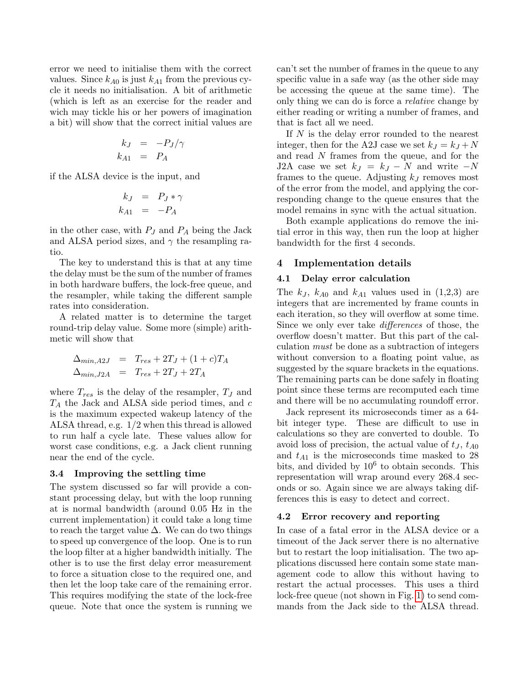error we need to initialise them with the correct values. Since  $k_{A0}$  is just  $k_{A1}$  from the previous cycle it needs no initialisation. A bit of arithmetic (which is left as an exercise for the reader and wich may tickle his or her powers of imagination a bit) will show that the correct initial values are

$$
k_J = -P_J/\gamma
$$
  

$$
k_{A1} = P_A
$$

if the ALSA device is the input, and

$$
k_J = P_J * \gamma
$$
  

$$
k_{A1} = -P_A
$$

in the other case, with  $P_J$  and  $P_A$  being the Jack and ALSA period sizes, and  $\gamma$  the resampling ratio.

The key to understand this is that at any time the delay must be the sum of the number of frames in both hardware buffers, the lock-free queue, and the resampler, while taking the different sample rates into consideration.

A related matter is to determine the target round-trip delay value. Some more (simple) arithmetic will show that

$$
\Delta_{min, A2J} = T_{res} + 2T_J + (1 + c)T_A
$$
  
\n
$$
\Delta_{min, J2A} = T_{res} + 2T_J + 2T_A
$$

where  $T_{res}$  is the delay of the resampler,  $T_J$  and  $T_A$  the Jack and ALSA side period times, and  $c$ is the maximum expected wakeup latency of the ALSA thread, e.g. 1/2 when this thread is allowed to run half a cycle late. These values allow for worst case conditions, e.g. a Jack client running near the end of the cycle.

#### <span id="page-4-0"></span>3.4 Improving the settling time

The system discussed so far will provide a constant processing delay, but with the loop running at is normal bandwidth (around 0.05 Hz in the current implementation) it could take a long time to reach the target value  $\Delta$ . We can do two things to speed up convergence of the loop. One is to run the loop filter at a higher bandwidth initially. The other is to use the first delay error measurement to force a situation close to the required one, and then let the loop take care of the remaining error. This requires modifying the state of the lock-free queue. Note that once the system is running we can't set the number of frames in the queue to any specific value in a safe way (as the other side may be accessing the queue at the same time). The only thing we can do is force a relative change by either reading or writing a number of frames, and that is fact all we need.

If N is the delay error rounded to the nearest integer, then for the A2J case we set  $k_J = k_J + N$ and read N frames from the queue, and for the J2A case we set  $k_J = k_J - N$  and write  $-N$ frames to the queue. Adjusting  $k_J$  removes most of the error from the model, and applying the corresponding change to the queue ensures that the model remains in sync with the actual situation.

Both example applications do remove the initial error in this way, then run the loop at higher bandwidth for the first 4 seconds.

# 4 Implementation details

#### 4.1 Delay error calculation

The  $k_J$ ,  $k_{A0}$  and  $k_{A1}$  values used in  $(1,2,3)$  are integers that are incremented by frame counts in each iteration, so they will overflow at some time. Since we only ever take differences of those, the overflow doesn't matter. But this part of the calculation must be done as a subtraction of integers without conversion to a floating point value, as suggested by the square brackets in the equations. The remaining parts can be done safely in floating point since these terms are recomputed each time and there will be no accumulating roundoff error.

Jack represent its microseconds timer as a 64 bit integer type. These are difficult to use in calculations so they are converted to double. To avoid loss of precision, the actual value of  $t<sub>J</sub>$ ,  $t<sub>A0</sub>$ and  $t_{A1}$  is the microseconds time masked to 28 bits, and divided by  $10^6$  to obtain seconds. This representation will wrap around every 268.4 seconds or so. Again since we are always taking differences this is easy to detect and correct.

#### 4.2 Error recovery and reporting

In case of a fatal error in the ALSA device or a timeout of the Jack server there is no alternative but to restart the loop initialisation. The two applications discussed here contain some state management code to allow this without having to restart the actual processes. This uses a third lock-free queue (not shown in Fig. [1\)](#page-1-1) to send commands from the Jack side to the ALSA thread.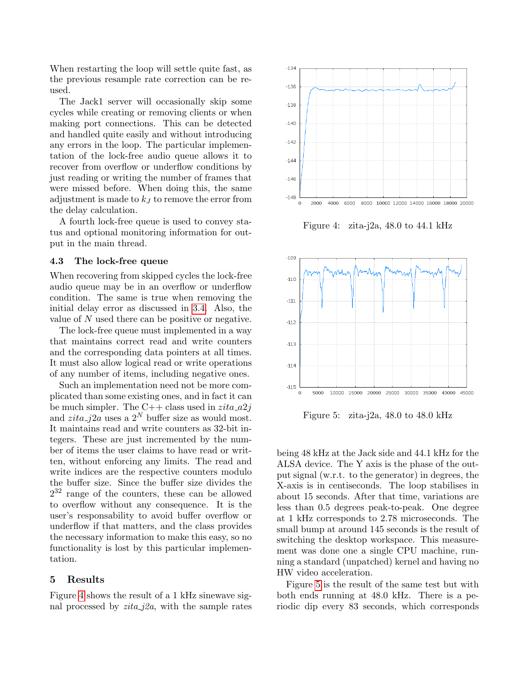When restarting the loop will settle quite fast, as the previous resample rate correction can be reused.

The Jack1 server will occasionally skip some cycles while creating or removing clients or when making port connections. This can be detected and handled quite easily and without introducing any errors in the loop. The particular implementation of the lock-free audio queue allows it to recover from overflow or underflow conditions by just reading or writing the number of frames that were missed before. When doing this, the same adjustment is made to  $k<sub>J</sub>$  to remove the error from the delay calculation.

A fourth lock-free queue is used to convey status and optional monitoring information for output in the main thread.

#### 4.3 The lock-free queue

When recovering from skipped cycles the lock-free audio queue may be in an overflow or underflow condition. The same is true when removing the initial delay error as discussed in [3.4.](#page-4-0) Also, the value of N used there can be positive or negative.

The lock-free queue must implemented in a way that maintains correct read and write counters and the corresponding data pointers at all times. It must also allow logical read or write operations of any number of items, including negative ones.

Such an implementation need not be more complicated than some existing ones, and in fact it can be much simpler. The C++ class used in  $zita_a2j$ and  $zita_{i}i2a$  uses a  $2^{N}$  buffer size as would most. It maintains read and write counters as 32-bit integers. These are just incremented by the number of items the user claims to have read or written, without enforcing any limits. The read and write indices are the respective counters modulo the buffer size. Since the buffer size divides the  $2^{32}$  range of the counters, these can be allowed to overflow without any consequence. It is the user's responsability to avoid buffer overflow or underflow if that matters, and the class provides the necessary information to make this easy, so no functionality is lost by this particular implementation.

## 5 Results

Figure [4](#page-5-0) shows the result of a 1 kHz sinewave signal processed by  $zita_j2a$ , with the sample rates



<span id="page-5-0"></span>Figure 4: zita-j2a, 48.0 to 44.1 kHz



<span id="page-5-1"></span>Figure 5: zita-j2a, 48.0 to 48.0 kHz

being 48 kHz at the Jack side and 44.1 kHz for the ALSA device. The Y axis is the phase of the output signal (w.r.t. to the generator) in degrees, the X-axis is in centiseconds. The loop stabilises in about 15 seconds. After that time, variations are less than 0.5 degrees peak-to-peak. One degree at 1 kHz corresponds to 2.78 microseconds. The small bump at around 145 seconds is the result of switching the desktop workspace. This measurement was done one a single CPU machine, running a standard (unpatched) kernel and having no HW video acceleration.

Figure [5](#page-5-1) is the result of the same test but with both ends running at 48.0 kHz. There is a periodic dip every 83 seconds, which corresponds